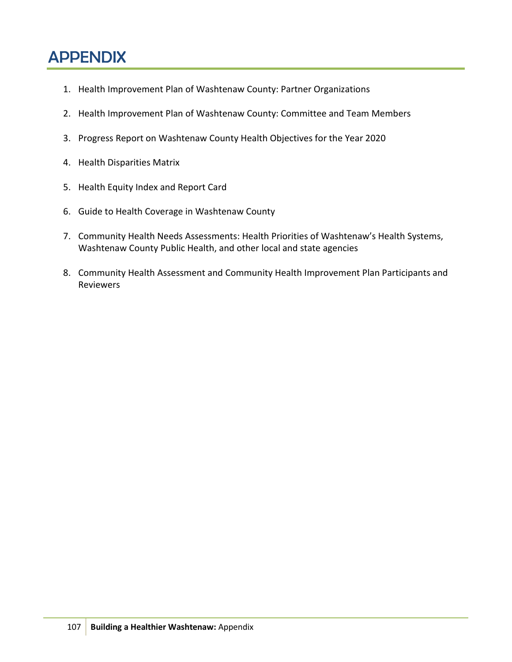# APPENDIX

- 1. Health Improvement Plan of Washtenaw County: Partner Organizations
- 2. Health Improvement Plan of Washtenaw County: Committee and Team Members
- 3. Progress Report on Washtenaw County Health Objectives for the Year 2020
- 4. Health Disparities Matrix
- 5. Health Equity Index and Report Card
- 6. Guide to Health Coverage in Washtenaw County
- 7. Community Health Needs Assessments: Health Priorities of Washtenaw's Health Systems, Washtenaw County Public Health, and other local and state agencies
- 8. Community Health Assessment and Community Health Improvement Plan Participants and Reviewers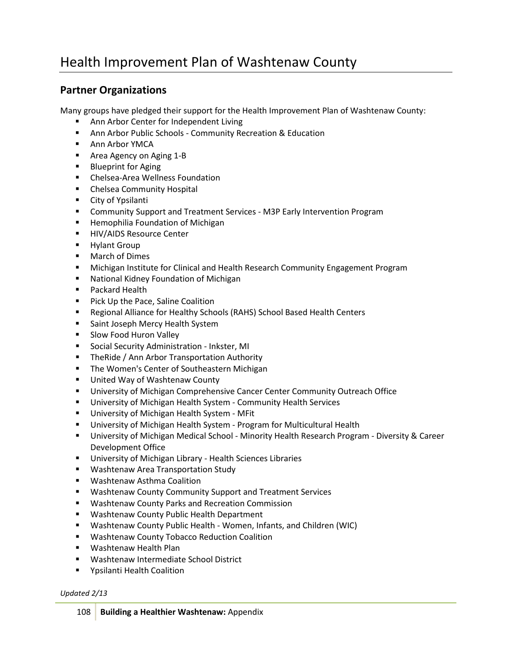# Health Improvement Plan of Washtenaw County

## **Partner Organizations**

Many groups have pledged their support for the Health Improvement Plan of Washtenaw County:

- Ann Arbor Center for Independent Living
- **-** Ann Arbor Public Schools [Community Recreation & Education](http://www.aareced.com/)
- **[Ann Arbor YMCA](http://www.annarborymca.org/)**
- **[Area Agency on Aging 1-B](http://www.aaa1b.com/)**
- **[Blueprint for Aging](http://www.blueprintforaging.org/)**
- [Chelsea-Area Wellness Foundation](http://www.5healthytowns.org/)
- **E** [Chelsea Community Hospital](http://www.cch.org/)
- **[City of Ypsilanti](http://www.cityofypsilanti.com/)**
- **E** [Community Support and Treatment Services -](http://preventmentalillnessmi.org/) M3P Early Intervention Program
- **E** [Hemophilia Foundation of Michigan](http://www.hfmich.org/)
- **[HIV/AIDS Resource Center](http://www.hivaidsresourcecenter.org/)**
- **[Hylant Group](http://www.hylant.com/)**
- **Narch of Dimes**
- [Michigan Institute for Clinical and Health Research Community Engagement Program](http://www.michr.umich.edu/programs/comm-engage.html)
- [National Kidney Foundation of Michigan](http://www.nkfm.org/)
- **[Packard Health](http://www.packardhealth.org/)**
- **[Pick Up the Pace, Saline Coalition](http://www.salinepups.org/)**
- [Regional Alliance for Healthy Schools \(RAHS\) School Based Health Centers](http://www.aaps.k12.mi.us/rahs)
- **[Saint Joseph Mercy Health System](http://www.sjmercyhealth.org/)**
- **[Slow Food Huron Valley](http://slowfoodhuronvalley.com/)**
- **[Social Security Administration](http://www.ewashtenaw.org/government/departments/public_health/health-promotion/hip/www.socialsecurity.gov) Inkster, MI**
- **[TheRide / Ann Arbor Transportation Authority](http://www.theride.org/)**
- **[The Women's Center of Southeastern Michigan](http://www.womenscentersemi.org/)**
- **[United Way of Washtenaw County](http://uwwashtenaw.org/)**
- [University of Michigan Comprehensive Cancer Center Community Outreach Office](http://mcancer.org/outreach)
- **[University of Michigan Health System -](http://www.med.umich.edu/chs/) Community Health Services**
- **[University of Michigan Health System -](http://www.med.umich.edu/mfit) MFit**
- [University of Michigan Health System -](http://www.med.umich.edu/multicultural/) Program for Multicultural Health
- [University of Michigan Medical School -](http://www.med.umich.edu/medschool/diversity/) Minority Health Research Program Diversity & Career [Development Office](http://www.med.umich.edu/medschool/diversity/)
- [University of Michigan Library -](http://www.lib.umich.edu/hsl) Health Sciences Libraries
- **[Washtenaw Area Transportation Study](http://www.miwats.org/)**
- Washtenaw Asthma Coalition
- [Washtenaw County Community Support and Treatment Services](http://www.ewashtenaw.org/csts)
- [Washtenaw County Parks and Recreation Commission](http://www.ewashtenaw.org/government/departments/parks_recreation)
- **[Washtenaw County Public Health Department](http://www.ewashtenaw.org/government/departments/public_health/)**
- Washtenaw County Public Health [Women, Infants, and Children \(WIC\)](http://www.ewashtenaw.org/government/departments/public_health/family_health/fam_health_mihp_wic_nursing/wic_all_things/ph_hltwic.html)
- **[Washtenaw County Tobacco Reduction Coalition](http://www.ewashtenaw.org/government/departments/public_health/trc.html)**
- [Washtenaw](http://www.ewashtenaw.org/government/departments/public_health/whp) Health Plan
- [Washtenaw Intermediate School District](http://www.wash.k12.mi.us/)
- **F** Ypsilanti Health Coalition

*Updated 2/13*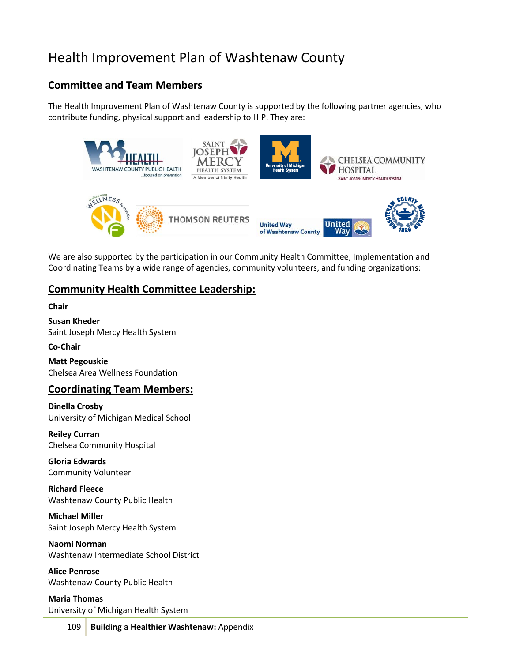# Health Improvement Plan of Washtenaw County

## **Committee and Team Members**

The Health Improvement Plan of Washtenaw County is supported by the following partner agencies, who contribute funding, physical support and leadership to HIP. They are:



We are also supported by the participation in our Community Health Committee, Implementation and Coordinating Teams by a wide range of agencies, community volunteers, and funding organizations:

## **Community Health Committee Leadership:**

**Chair**

**Susan Kheder** Saint Joseph Mercy Health System

**Co-Chair**

**Matt Pegouskie** Chelsea Area Wellness Foundation

## **Coordinating Team Members:**

**Dinella Crosby** University of Michigan Medical School

**Reiley Curran** Chelsea Community Hospital

**Gloria Edwards** Community Volunteer

**Richard Fleece** Washtenaw County Public Health

**Michael Miller** Saint Joseph Mercy Health System

**Naomi Norman** Washtenaw Intermediate School District

**Alice Penrose** Washtenaw County Public Health

**Maria Thomas** University of Michigan Health System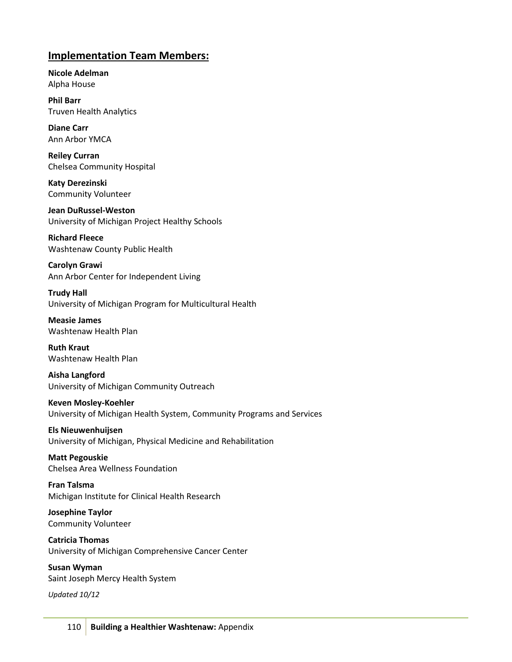## **Implementation Team Members:**

**Nicole Adelman** Alpha House

**Phil Barr** Truven Health Analytics

**Diane Carr** Ann Arbor YMCA

**Reiley Curran** Chelsea Community Hospital

**Katy Derezinski** Community Volunteer

**Jean DuRussel-Weston** University of Michigan Project Healthy Schools

**Richard Fleece** Washtenaw County Public Health

**Carolyn Grawi** Ann Arbor Center for Independent Living

**Trudy Hall** University of Michigan Program for Multicultural Health

**Measie James** Washtenaw Health Plan

**Ruth Kraut** Washtenaw Health Plan

**Aisha Langford** University of Michigan Community Outreach

**Keven Mosley-Koehler** University of Michigan Health System, Community Programs and Services

**Els Nieuwenhuijsen** University of Michigan, Physical Medicine and Rehabilitation

**Matt Pegouskie** Chelsea Area Wellness Foundation

**Fran Talsma** Michigan Institute for Clinical Health Research

**Josephine Taylor** Community Volunteer

**Catricia Thomas** University of Michigan Comprehensive Cancer Center

**Susan Wyman** Saint Joseph Mercy Health System

*Updated 10/12*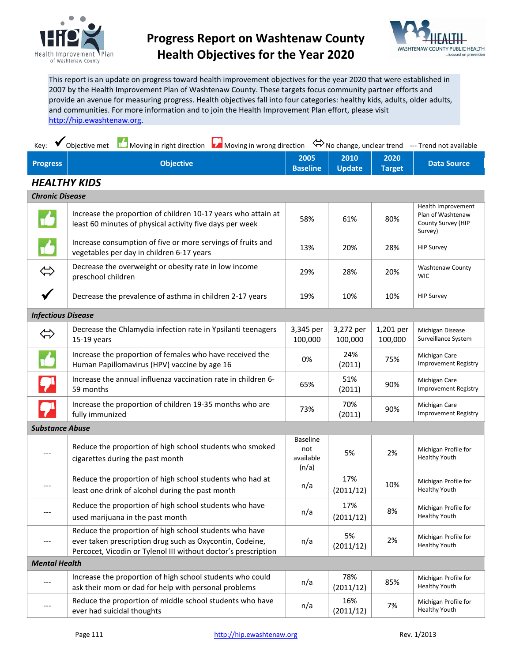

## **Progress Report on Washtenaw County Health Objectives for the Year 2020**



This report is an update on progress toward health improvement objectives for the year 2020 that were established in 2007 by the Health Improvement Plan of Washtenaw County. These targets focus community partner efforts and provide an avenue for measuring progress. Health objectives fall into four categories: healthy kids, adults, older adults, and communities. For more information and to join the Health Improvement Plan effort, please visit [http://hip.ewashtenaw.org.](http://hip.ewashtenaw.org/)

| $Key:$ $\blacktriangleright$ |  | Objective met <b>ID</b> Moving in right direction <b>LA</b> Moving in wrong direction $\Leftrightarrow$ No change, unclear trend --- Trend not available |  |      |                                                                                                   |                       |                    |
|------------------------------|--|----------------------------------------------------------------------------------------------------------------------------------------------------------|--|------|---------------------------------------------------------------------------------------------------|-----------------------|--------------------|
| <b>Progress</b>              |  | <b>Objective</b>                                                                                                                                         |  | 2005 | $\begin{array}{ c c c c c }\n\hline\n\text{2010} & \text{ }\end{array}$<br><b>Baseline Update</b> | 2020<br><b>Target</b> | <b>Data Source</b> |
| $110211 - 11111100$          |  |                                                                                                                                                          |  |      |                                                                                                   |                       |                    |

## *HEALTHY KIDS*

| <b>Chronic Disease</b>    |                                                                                                                                                                                      |                                              |                      |                      |                                                                          |
|---------------------------|--------------------------------------------------------------------------------------------------------------------------------------------------------------------------------------|----------------------------------------------|----------------------|----------------------|--------------------------------------------------------------------------|
|                           | Increase the proportion of children 10-17 years who attain at<br>least 60 minutes of physical activity five days per week                                                            | 58%                                          | 61%                  | 80%                  | Health Improvement<br>Plan of Washtenaw<br>County Survey (HIP<br>Survey) |
|                           | Increase consumption of five or more servings of fruits and<br>vegetables per day in children 6-17 years                                                                             | 13%                                          | 20%                  | 28%                  | <b>HIP Survey</b>                                                        |
| $\Leftrightarrow$         | Decrease the overweight or obesity rate in low income<br>preschool children                                                                                                          | 29%                                          | 28%                  | 20%                  | <b>Washtenaw County</b><br><b>WIC</b>                                    |
| $\checkmark$              | Decrease the prevalence of asthma in children 2-17 years                                                                                                                             | 19%                                          | 10%                  | 10%                  | <b>HIP Survey</b>                                                        |
| <b>Infectious Disease</b> |                                                                                                                                                                                      |                                              |                      |                      |                                                                          |
| $\Leftrightarrow$         | Decrease the Chlamydia infection rate in Ypsilanti teenagers<br>$15-19$ years                                                                                                        |                                              | 3,272 per<br>100,000 | 1,201 per<br>100,000 | Michigan Disease<br>Surveillance System                                  |
|                           | Increase the proportion of females who have received the<br>Human Papillomavirus (HPV) vaccine by age 16                                                                             |                                              | 24%<br>(2011)        | 75%                  | Michigan Care<br><b>Improvement Registry</b>                             |
|                           | Increase the annual influenza vaccination rate in children 6-<br>59 months                                                                                                           |                                              | 51%<br>(2011)        | 90%                  | Michigan Care<br><b>Improvement Registry</b>                             |
|                           | Increase the proportion of children 19-35 months who are<br>fully immunized                                                                                                          | 73%                                          | 70%<br>(2011)        | 90%                  | Michigan Care<br><b>Improvement Registry</b>                             |
| <b>Substance Abuse</b>    |                                                                                                                                                                                      |                                              |                      |                      |                                                                          |
| ---                       | Reduce the proportion of high school students who smoked<br>cigarettes during the past month                                                                                         | <b>Baseline</b><br>not<br>available<br>(n/a) | 5%                   | 2%                   | Michigan Profile for<br><b>Healthy Youth</b>                             |
| ---                       | Reduce the proportion of high school students who had at<br>least one drink of alcohol during the past month                                                                         | n/a                                          | 17%<br>(2011/12)     | 10%                  | Michigan Profile for<br><b>Healthy Youth</b>                             |
| ---                       | Reduce the proportion of high school students who have<br>used marijuana in the past month                                                                                           | n/a                                          | 17%<br>(2011/12)     | 8%                   | Michigan Profile for<br><b>Healthy Youth</b>                             |
| $---$                     | Reduce the proportion of high school students who have<br>ever taken prescription drug such as Oxycontin, Codeine,<br>Percocet, Vicodin or Tylenol III without doctor's prescription |                                              | 5%<br>(2011/12)      | 2%                   | Michigan Profile for<br><b>Healthy Youth</b>                             |
| <b>Mental Health</b>      |                                                                                                                                                                                      |                                              |                      |                      |                                                                          |
| ---                       | Increase the proportion of high school students who could<br>ask their mom or dad for help with personal problems                                                                    | n/a                                          | 78%<br>(2011/12)     | 85%                  | Michigan Profile for<br><b>Healthy Youth</b>                             |
| $---$                     | Reduce the proportion of middle school students who have<br>ever had suicidal thoughts                                                                                               | n/a                                          | 16%<br>(2011/12)     | 7%                   | Michigan Profile for<br><b>Healthy Youth</b>                             |
|                           |                                                                                                                                                                                      |                                              |                      |                      |                                                                          |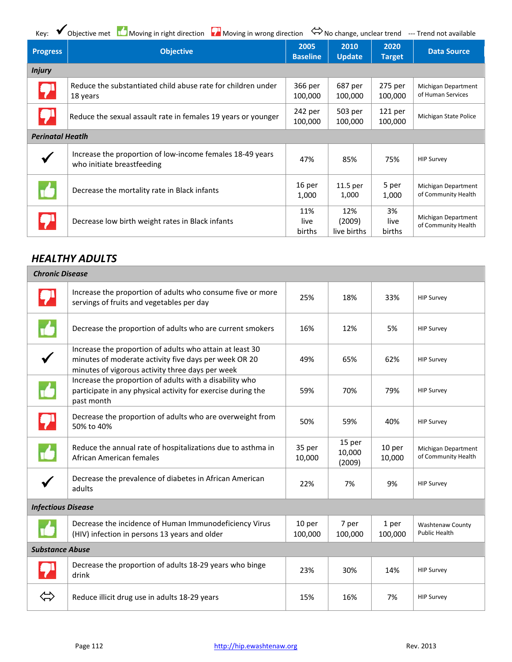| Key:                    | Objective met $\Box$ Moving in right direction $\Box$ Moving in wrong direction         |                         |                              |                               | No change, unclear trend --- Trend not available |
|-------------------------|-----------------------------------------------------------------------------------------|-------------------------|------------------------------|-------------------------------|--------------------------------------------------|
| <b>Progress</b>         | <b>Objective</b>                                                                        | 2005<br><b>Baseline</b> | 2010<br><b>Update</b>        | 2020<br><b>Target</b>         | <b>Data Source</b>                               |
| <b>Injury</b>           |                                                                                         |                         |                              |                               |                                                  |
|                         | Reduce the substantiated child abuse rate for children under<br>18 years                | 366 per<br>100,000      | 687 per<br>100,000           | 275 per<br>100,000            | Michigan Department<br>of Human Services         |
|                         | Reduce the sexual assault rate in females 19 years or younger                           | 242 per<br>100,000      | 503 per<br>100,000           | 121 <sub>per</sub><br>100,000 | Michigan State Police                            |
| <b>Perinatal Heatlh</b> |                                                                                         |                         |                              |                               |                                                  |
|                         | Increase the proportion of low-income females 18-49 years<br>who initiate breastfeeding | 47%                     | 85%                          | 75%                           | <b>HIP Survey</b>                                |
|                         | Decrease the mortality rate in Black infants                                            | 16 per<br>1,000         | $11.5$ per<br>1,000          | 5 per<br>1,000                | Michigan Department<br>of Community Health       |
|                         | Decrease low birth weight rates in Black infants                                        | 11%<br>live<br>births   | 12%<br>(2009)<br>live births | 3%<br>live<br>births          | Michigan Department<br>of Community Health       |

## *HEALTHY ADULTS*

| <b>Chronic Disease</b>    |                                                                                                                                                                       |                   |                            |                  |                                            |
|---------------------------|-----------------------------------------------------------------------------------------------------------------------------------------------------------------------|-------------------|----------------------------|------------------|--------------------------------------------|
|                           | Increase the proportion of adults who consume five or more<br>servings of fruits and vegetables per day                                                               | 25%               | 18%                        | 33%              | <b>HIP Survey</b>                          |
|                           | Decrease the proportion of adults who are current smokers                                                                                                             | 16%               | 12%                        | 5%               | <b>HIP Survey</b>                          |
|                           | Increase the proportion of adults who attain at least 30<br>minutes of moderate activity five days per week OR 20<br>minutes of vigorous activity three days per week |                   | 65%                        | 62%              | <b>HIP Survey</b>                          |
|                           | Increase the proportion of adults with a disability who<br>participate in any physical activity for exercise during the<br>past month                                 |                   | 70%                        | 79%              | <b>HIP Survey</b>                          |
| <b>P</b>                  | Decrease the proportion of adults who are overweight from<br>50% to 40%                                                                                               |                   | 59%                        | 40%              | <b>HIP Survey</b>                          |
|                           | Reduce the annual rate of hospitalizations due to asthma in<br>African American females                                                                               | 35 per<br>10,000  | 15 per<br>10,000<br>(2009) | 10 per<br>10,000 | Michigan Department<br>of Community Health |
|                           | Decrease the prevalence of diabetes in African American<br>adults                                                                                                     | 22%               | 7%                         | 9%               | <b>HIP Survey</b>                          |
| <b>Infectious Disease</b> |                                                                                                                                                                       |                   |                            |                  |                                            |
|                           | Decrease the incidence of Human Immunodeficiency Virus<br>(HIV) infection in persons 13 years and older                                                               | 10 per<br>100,000 | 7 per<br>100,000           | 1 per<br>100,000 | Washtenaw County<br><b>Public Health</b>   |
| <b>Substance Abuse</b>    |                                                                                                                                                                       |                   |                            |                  |                                            |
|                           | Decrease the proportion of adults 18-29 years who binge<br>drink                                                                                                      |                   | 30%                        | 14%              | <b>HIP Survey</b>                          |
| $\Leftrightarrow$         | Reduce illicit drug use in adults 18-29 years                                                                                                                         | 15%               | 16%                        | 7%               | <b>HIP Survey</b>                          |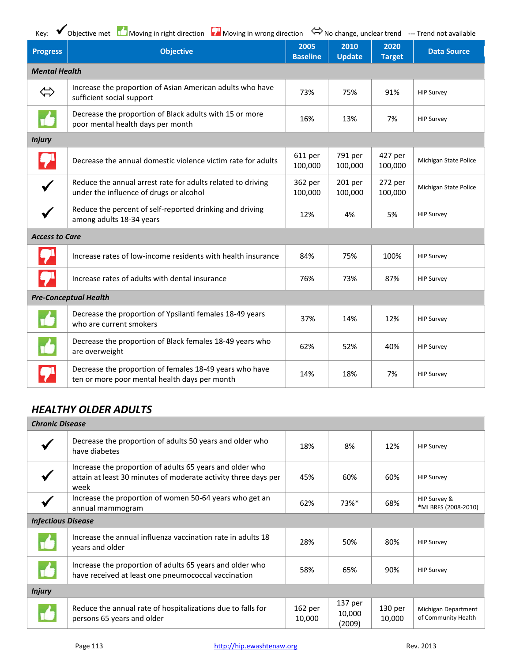Key:  $\bigvee$  Objective met Moving in right direction Noving in wrong direction  $\Leftrightarrow$  No change, unclear trend --- Trend not available

| <b>Progress</b>       | <b>Objective</b>                                                                                         | 2005<br><b>Baseline</b> | 2010<br><b>Update</b> | 2020<br><b>Target</b> | <b>Data Source</b>    |
|-----------------------|----------------------------------------------------------------------------------------------------------|-------------------------|-----------------------|-----------------------|-----------------------|
| <b>Mental Health</b>  |                                                                                                          |                         |                       |                       |                       |
| $\Leftrightarrow$     | Increase the proportion of Asian American adults who have<br>sufficient social support                   | 73%                     | 75%                   | 91%                   | <b>HIP Survey</b>     |
|                       | Decrease the proportion of Black adults with 15 or more<br>poor mental health days per month             | 16%                     | 13%                   | 7%                    | <b>HIP Survey</b>     |
| <b>Injury</b>         |                                                                                                          |                         |                       |                       |                       |
|                       | Decrease the annual domestic violence victim rate for adults                                             |                         | 791 per<br>100,000    | 427 per<br>100,000    | Michigan State Police |
| $\checkmark$          | Reduce the annual arrest rate for adults related to driving<br>under the influence of drugs or alcohol   |                         | 201 per<br>100,000    | 272 per<br>100,000    | Michigan State Police |
|                       | Reduce the percent of self-reported drinking and driving<br>among adults 18-34 years                     | 12%                     | 4%                    | 5%                    | <b>HIP Survey</b>     |
| <b>Access to Care</b> |                                                                                                          |                         |                       |                       |                       |
|                       | Increase rates of low-income residents with health insurance                                             | 84%                     | 75%                   | 100%                  | <b>HIP Survey</b>     |
|                       | Increase rates of adults with dental insurance                                                           | 76%                     | 73%                   | 87%                   | <b>HIP Survey</b>     |
|                       | <b>Pre-Conceptual Health</b>                                                                             |                         |                       |                       |                       |
|                       | Decrease the proportion of Ypsilanti females 18-49 years<br>who are current smokers                      | 37%                     | 14%                   | 12%                   | <b>HIP Survey</b>     |
|                       | Decrease the proportion of Black females 18-49 years who<br>are overweight                               | 62%                     | 52%                   | 40%                   | <b>HIP Survey</b>     |
|                       | Decrease the proportion of females 18-49 years who have<br>ten or more poor mental health days per month | 14%                     | 18%                   | 7%                    | <b>HIP Survey</b>     |

## *HEALTHY OLDER ADULTS*

|                           | <b>Chronic Disease</b>                                                                                                             |                   |                             |                   |                                            |  |  |
|---------------------------|------------------------------------------------------------------------------------------------------------------------------------|-------------------|-----------------------------|-------------------|--------------------------------------------|--|--|
|                           | Decrease the proportion of adults 50 years and older who<br>have diabetes                                                          | 18%               | 8%                          | 12%               | <b>HIP Survey</b>                          |  |  |
|                           | Increase the proportion of adults 65 years and older who<br>attain at least 30 minutes of moderate activity three days per<br>week | 45%               | 60%                         | 60%               | <b>HIP Survey</b>                          |  |  |
|                           | Increase the proportion of women 50-64 years who get an<br>annual mammogram                                                        | 62%               | 73%*                        | 68%               | HIP Survey &<br>*MI BRFS (2008-2010)       |  |  |
| <b>Infectious Disease</b> |                                                                                                                                    |                   |                             |                   |                                            |  |  |
|                           | Increase the annual influenza vaccination rate in adults 18<br>years and older                                                     | 28%               | 50%                         | 80%               | <b>HIP Survey</b>                          |  |  |
|                           | Increase the proportion of adults 65 years and older who<br>have received at least one pneumococcal vaccination                    |                   | 65%                         | 90%               | <b>HIP Survey</b>                          |  |  |
| <b>Injury</b>             |                                                                                                                                    |                   |                             |                   |                                            |  |  |
|                           | Reduce the annual rate of hospitalizations due to falls for<br>persons 65 years and older                                          | 162 per<br>10,000 | 137 per<br>10,000<br>(2009) | 130 per<br>10,000 | Michigan Department<br>of Community Health |  |  |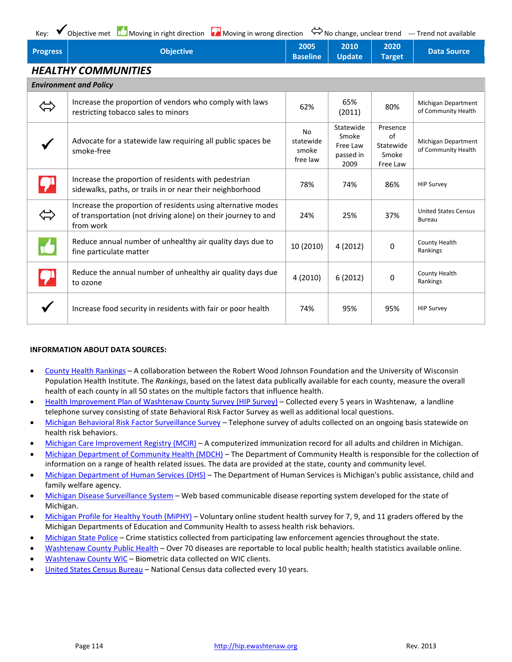| Objective<br><b>Progress</b> | 2005 2010 2020 |  | Data Source |
|------------------------------|----------------|--|-------------|
|------------------------------|----------------|--|-------------|

## *HEALTHY COMMUNITIES*

| <b>Environment and Policy</b>                                                                                                              |           |                                                     |                                                  |                                            |
|--------------------------------------------------------------------------------------------------------------------------------------------|-----------|-----------------------------------------------------|--------------------------------------------------|--------------------------------------------|
| Increase the proportion of vendors who comply with laws<br>restricting tobacco sales to minors                                             | 62%       | 65%<br>(2011)                                       | 80%                                              | Michigan Department<br>of Community Health |
| Advocate for a statewide law requiring all public spaces be<br>smoke-free                                                                  |           | Statewide<br>Smoke<br>Free Law<br>passed in<br>2009 | Presence<br>of<br>Statewide<br>Smoke<br>Free Law | Michigan Department<br>of Community Health |
| Increase the proportion of residents with pedestrian<br>sidewalks, paths, or trails in or near their neighborhood                          | 78%       | 74%                                                 | 86%                                              | <b>HIP Survey</b>                          |
| Increase the proportion of residents using alternative modes<br>of transportation (not driving alone) on their journey to and<br>from work |           | 25%                                                 | 37%                                              | <b>United States Census</b><br>Bureau      |
| Reduce annual number of unhealthy air quality days due to<br>fine particulate matter                                                       | 10 (2010) | 4(2012)                                             | 0                                                | County Health<br>Rankings                  |
| Reduce the annual number of unhealthy air quality days due<br>to ozone                                                                     | 4 (2010)  | 6(2012)                                             | 0                                                | County Health<br>Rankings                  |
| Increase food security in residents with fair or poor health                                                                               | 74%       | 95%                                                 | 95%                                              | <b>HIP Survey</b>                          |

#### **INFORMATION ABOUT DATA SOURCES:**

- [County Health Rankings](http://www.countyhealthrankings.org/about-project/background) A collaboration between the Robert Wood Johnson Foundation and the University of Wisconsin Population Health Institute. The *Rankings*, based on the latest data publically available for each county, measure the overall health of each county in all 50 states on the multiple factors that influence health.
- [Health Improvement Plan of Washtenaw County Survey \(HIP Survey\)](http://hip.ewashtenaw.org/) Collected every 5 years in Washtenaw, a landline telephone survey consisting of state Behavioral Risk Factor Survey as well as additional local questions.
- [Michigan Behavioral Risk Factor Surveillance Survey](http://www.michigan.gov/mdch/0,1607,7-132-2945_5104_5279_39424---,00.html) Telephone survey of adults collected on an ongoing basis statewide on health risk behaviors.
- [Michigan Care Improvement Registry \(MCIR\)](http://www.mcir.org/aboutmcircontent.html) A computerized immunization record for all adults and children in Michigan.
- [Michigan Department of Community Health \(MDCH\)](http://www.michigan.gov/mdch/0,4612,7-132-2944---,00.html) The Department of Community Health is responsible for the collection of information on a range of health related issues. The data are provided at the state, county and community level.
- [Michigan Department of Human Services](http://www.mi.gov/dhs/0,4562,7-124-5459---,00.html) (DHS) The Department of Human Services is Michigan's public assistance, child and family welfare agency.
- [Michigan Disease Surveillance System](http://www.michigan.gov/mdch/0,1607,7-132-2945_5104_31274---,00.html) Web based communicable disease reporting system developed for the state of Michigan.
- [Michigan Profile for Healthy Youth \(MiPHY\)](http://www.michigan.gov/mde/0,1607,7-140-28753_38684_29233_44681---,00.html) Voluntary online student health survey for 7, 9, and 11 graders offered by the Michigan Departments of Education and Community Health to assess health risk behaviors.
- [Michigan State Police](http://www.micrstats.state.mi.us/MICR/Home.aspx) Crime statistics collected from participating law enforcement agencies throughout the state.
- [Washtenaw County Public Health](http://www.ewashtenaw.org/government/departments/public_health/disease_control/ph_hltstats.html) Over 70 diseases are reportable to local public health; health statistics available online.
- [Washtenaw County WIC](http://www.ewashtenaw.org/government/departments/public_health/family_health/fam_health_mihp_wic_nursing/wic_all_things/ph_hltwic.html) Biometric data collected on WIC clients.
- [United States Census Bureau](http://www.census.gov/) National Census data collected every 10 years.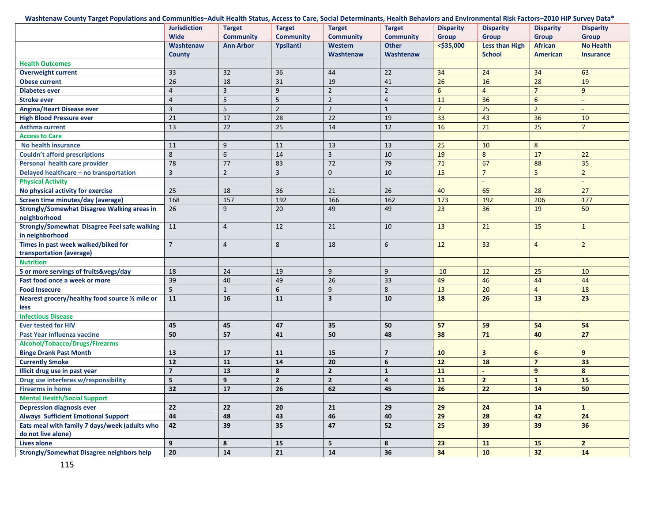#### Washtenaw County Target Populations and Communities–Adult Health Status, Access to Care, Social Determinants, Health Behaviors and Environmental Risk Factors–2010 HIP Survey Data\*

|                                                                    | <b>Jurisdiction</b><br><b>Wide</b> | <b>Target</b><br><b>Community</b> | <b>Target</b><br><b>Community</b> | <b>Target</b><br><b>Community</b> | <b>Target</b><br><b>Community</b> | <b>Disparity</b><br><b>Group</b> | <b>Disparity</b><br><b>Group</b> | <b>Disparity</b><br><b>Group</b> | <b>Disparity</b><br><b>Group</b> |
|--------------------------------------------------------------------|------------------------------------|-----------------------------------|-----------------------------------|-----------------------------------|-----------------------------------|----------------------------------|----------------------------------|----------------------------------|----------------------------------|
|                                                                    | Washtenaw                          | <b>Ann Arbor</b>                  | Ypsilanti                         | Western                           | <b>Other</b>                      | $<$ \$35,000                     | <b>Less than High</b>            | <b>African</b>                   | <b>No Health</b>                 |
|                                                                    | <b>County</b>                      |                                   |                                   | Washtenaw                         | Washtenaw                         |                                  | <b>School</b>                    | <b>American</b>                  | <b>Insurance</b>                 |
| <b>Health Outcomes</b>                                             |                                    |                                   |                                   |                                   |                                   |                                  |                                  |                                  |                                  |
| <b>Overweight current</b>                                          | 33                                 | 32                                | 36                                | 44                                | 22                                | 34                               | 24                               | 34                               | 63                               |
| <b>Obese current</b>                                               | 26                                 | 18                                | 31                                | 19                                | 41                                | 26                               | 16                               | 28                               | 19                               |
| <b>Diabetes ever</b>                                               | $\overline{4}$                     | $\overline{\mathbf{3}}$           | 9                                 | $\overline{2}$                    | $\mathbf 2$                       | $6\overline{6}$                  | $\overline{4}$                   | $\overline{7}$                   | 9                                |
| <b>Stroke ever</b>                                                 | $\overline{4}$                     | 5                                 | 5                                 | $\overline{2}$                    | $\overline{4}$                    | 11                               | 36                               | $6\overline{6}$                  | $\sim$                           |
| <b>Angina/Heart Disease ever</b>                                   | $\overline{3}$                     | 5                                 | $\overline{2}$                    | $\overline{2}$                    | $\mathbf{1}$                      | $\overline{7}$                   | 25                               | $2^{\circ}$                      | $\sim$                           |
| <b>High Blood Pressure ever</b>                                    | 21                                 | 17                                | 28                                | $\overline{22}$                   | 19                                | 33                               | 43                               | 36                               | 10                               |
| <b>Asthma current</b>                                              | 13                                 | 22                                | $\overline{25}$                   | 14                                | 12                                | 16                               | 21                               | 25                               | $7\overline{ }$                  |
| <b>Access to Care</b>                                              |                                    |                                   |                                   |                                   |                                   |                                  |                                  |                                  |                                  |
| No health insurance                                                | 11                                 | 9                                 | 11                                | 13                                | 13                                | 25                               | 10                               | 8                                |                                  |
| <b>Couldn't afford prescriptions</b>                               | 8                                  | 6                                 | 14                                | 3                                 | 10                                | 19                               | 8                                | 17                               | 22                               |
| Personal health care provider                                      | $\overline{78}$                    | 77                                | 83                                | 72                                | 79                                | 71                               | 67                               | 88                               | 35                               |
| Delayed healthcare - no transportation                             | 3                                  | $\overline{2}$                    | 3                                 | $\mathbf{0}$                      | 10                                | 15                               | $\overline{7}$                   | 5                                | $\overline{2}$                   |
| <b>Physical Activity</b>                                           |                                    |                                   |                                   |                                   |                                   |                                  |                                  |                                  | $\omega$                         |
| No physical activity for exercise                                  | 25                                 | 18                                | 36                                | 21                                | 26                                | 40                               | 65                               | 28                               | 27                               |
| Screen time minutes/day (average)                                  | 168                                | 157                               | 192                               | 166                               | 162                               | 173                              | 192                              | 206                              | 177                              |
| <b>Strongly/Somewhat Disagree Walking areas in</b><br>neighborhood | 26                                 | 9                                 | 20                                | 49                                | 49                                | 23                               | 36                               | 19                               | 50                               |
| <b>Strongly/Somewhat Disagree Feel safe walking</b>                | 11                                 | $\overline{4}$                    | 12                                | 21                                | 10                                | 13                               | 21                               | 15                               | $\mathbf{1}$                     |
| in neighborhood                                                    |                                    |                                   |                                   |                                   |                                   |                                  |                                  |                                  |                                  |
| Times in past week walked/biked for                                | $\overline{7}$                     | $\overline{4}$                    | 8                                 | 18                                | 6                                 | 12                               | 33                               | $\overline{4}$                   | $\overline{2}$                   |
| transportation (average)                                           |                                    |                                   |                                   |                                   |                                   |                                  |                                  |                                  |                                  |
| <b>Nutrition</b>                                                   |                                    |                                   |                                   |                                   |                                   |                                  |                                  |                                  |                                  |
| 5 or more servings of fruits&vegs/day                              | 18                                 | $\overline{24}$                   | 19                                | 9                                 | 9                                 | 10                               | 12                               | 25                               | 10                               |
| Fast food once a week or more                                      | 39                                 | 40                                | 49                                | 26                                | 33                                | 49                               | 46                               | 44                               | 44                               |
| <b>Food Insecure</b>                                               | 5                                  | $\mathbf{1}$                      | 6                                 | 9                                 | 8                                 | 13                               | 20                               | $\overline{4}$                   | 18                               |
| Nearest grocery/healthy food source 1/2 mile or                    | 11                                 | 16                                | 11                                | $\overline{\mathbf{3}}$           | 10                                | 18                               | 26                               | 13                               | 23                               |
| less                                                               |                                    |                                   |                                   |                                   |                                   |                                  |                                  |                                  |                                  |
| <b>Infectious Disease</b>                                          |                                    |                                   |                                   |                                   |                                   |                                  |                                  |                                  |                                  |
| <b>Ever tested for HIV</b>                                         | 45                                 | 45                                | 47                                | 35                                | 50                                | 57                               | 59                               | 54                               | 54                               |
| Past Year influenza vaccine                                        | 50                                 | 57                                | 41                                | 50                                | 48                                | 38                               | 71                               | 40                               | 27                               |
| Alcohol/Tobacco/Drugs/Firearms                                     |                                    |                                   |                                   |                                   |                                   |                                  |                                  |                                  |                                  |
| <b>Binge Drank Past Month</b>                                      | 13                                 | 17                                | 11                                | 15                                | $\overline{7}$                    | 10                               | $\overline{\mathbf{3}}$          | 6                                | 9                                |
| <b>Currently Smoke</b>                                             | 12                                 | 11                                | 14                                | 20                                | 6                                 | 12                               | 18                               | $\overline{7}$                   | 33                               |
| Illicit drug use in past year                                      | $\overline{7}$                     | 13                                | 8                                 | $\overline{2}$                    | $\mathbf{1}$                      | 11                               |                                  | $\mathbf{9}$                     | 8                                |
| Drug use interferes w/responsibility                               | 5                                  | 9                                 | $\overline{2}$                    | $\overline{2}$                    | $\overline{a}$                    | 11                               | $\overline{2}$                   | $\mathbf{1}$                     | 15                               |
| <b>Firearms in home</b>                                            | 32                                 | 17                                | 26                                | 62                                | 45                                | 26                               | 22                               | 14                               | 50                               |
| <b>Mental Health/Social Support</b>                                |                                    |                                   |                                   |                                   |                                   |                                  |                                  |                                  |                                  |
| <b>Depression diagnosis ever</b>                                   | 22                                 | 22                                | 20                                | 21                                | 29                                | 29                               | 24                               | 14                               | $\mathbf{1}$                     |
| <b>Always Sufficient Emotional Support</b>                         | 44                                 | 48                                | 43                                | 46                                | 40                                | 29                               | 28                               | 42                               | 24                               |
| Eats meal with family 7 days/week (adults who                      | 42                                 | 39                                | 35                                | 47                                | 52                                | 25                               | 39                               | 39                               | 36                               |
| do not live alone)                                                 |                                    |                                   |                                   |                                   |                                   |                                  |                                  |                                  |                                  |
| <b>Lives alone</b>                                                 | 9                                  | 8                                 | 15                                | 5                                 | 8                                 | 23                               | 11                               | 15                               | $\overline{2}$                   |
| <b>Strongly/Somewhat Disagree neighbors help</b>                   | 20                                 | 14                                | 21                                | 14                                | 36                                | 34                               | 10                               | 32                               | 14                               |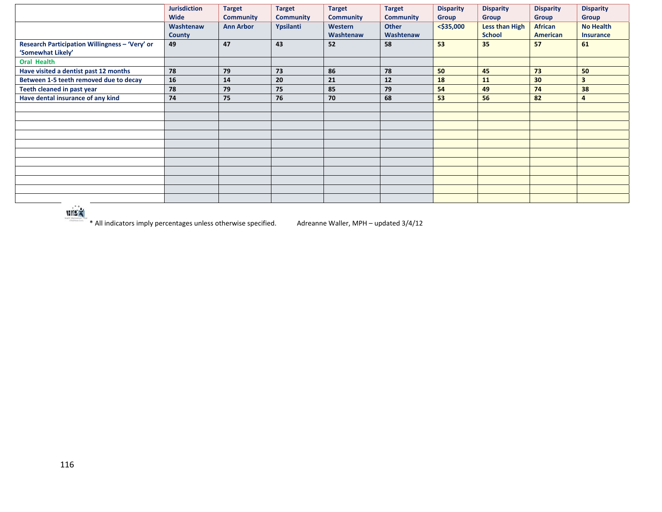|                                                                     | <b>Jurisdiction</b><br><b>Wide</b> | <b>Target</b><br><b>Community</b> | <b>Target</b><br><b>Community</b> | <b>Target</b><br><b>Community</b> | <b>Target</b><br><b>Community</b> | <b>Disparity</b><br><b>Group</b> | <b>Disparity</b><br><b>Group</b> | <b>Disparity</b><br><b>Group</b>  | <b>Disparity</b><br><b>Group</b>     |
|---------------------------------------------------------------------|------------------------------------|-----------------------------------|-----------------------------------|-----------------------------------|-----------------------------------|----------------------------------|----------------------------------|-----------------------------------|--------------------------------------|
|                                                                     | Washtenaw<br><b>County</b>         | <b>Ann Arbor</b>                  | Ypsilanti                         | Western<br>Washtenaw              | <b>Other</b><br>Washtenaw         | $<$ \$35,000                     | Less than High<br><b>School</b>  | <b>African</b><br><b>American</b> | <b>No Health</b><br><b>Insurance</b> |
| Research Participation Willingness - 'Very' or<br>'Somewhat Likely' | 49                                 | 47                                | 43                                | 52                                | 58                                | 53                               | 35                               | 57                                | 61                                   |
| <b>Oral Health</b>                                                  |                                    |                                   |                                   |                                   |                                   |                                  |                                  |                                   |                                      |
| Have visited a dentist past 12 months                               | 78                                 | 79                                | 73                                | 86                                | 78                                | 50                               | 45                               | 73                                | 50                                   |
| Between 1-5 teeth removed due to decay                              | 16                                 | 14                                | 20                                | 21                                | 12                                | 18                               | 11                               | 30                                | $\overline{\mathbf{3}}$              |
| Teeth cleaned in past year                                          | 78                                 | 79                                | 75                                | 85                                | 79                                | 54                               | 49                               | 74                                | 38                                   |
| Have dental insurance of any kind                                   | 74                                 | 75                                | 76                                | 70                                | 68                                | 53                               | 56                               | 82                                | 4                                    |
|                                                                     |                                    |                                   |                                   |                                   |                                   |                                  |                                  |                                   |                                      |
|                                                                     |                                    |                                   |                                   |                                   |                                   |                                  |                                  |                                   |                                      |
|                                                                     |                                    |                                   |                                   |                                   |                                   |                                  |                                  |                                   |                                      |
|                                                                     |                                    |                                   |                                   |                                   |                                   |                                  |                                  |                                   |                                      |
|                                                                     |                                    |                                   |                                   |                                   |                                   |                                  |                                  |                                   |                                      |
|                                                                     |                                    |                                   |                                   |                                   |                                   |                                  |                                  |                                   |                                      |
|                                                                     |                                    |                                   |                                   |                                   |                                   |                                  |                                  |                                   |                                      |
|                                                                     |                                    |                                   |                                   |                                   |                                   |                                  |                                  |                                   |                                      |
|                                                                     |                                    |                                   |                                   |                                   |                                   |                                  |                                  |                                   |                                      |
|                                                                     |                                    |                                   |                                   |                                   |                                   |                                  |                                  |                                   |                                      |
|                                                                     |                                    |                                   |                                   |                                   |                                   |                                  |                                  |                                   |                                      |



\* All indicators imply percentages unless otherwise specified. Adreanne Waller, MPH – updated 3/4/12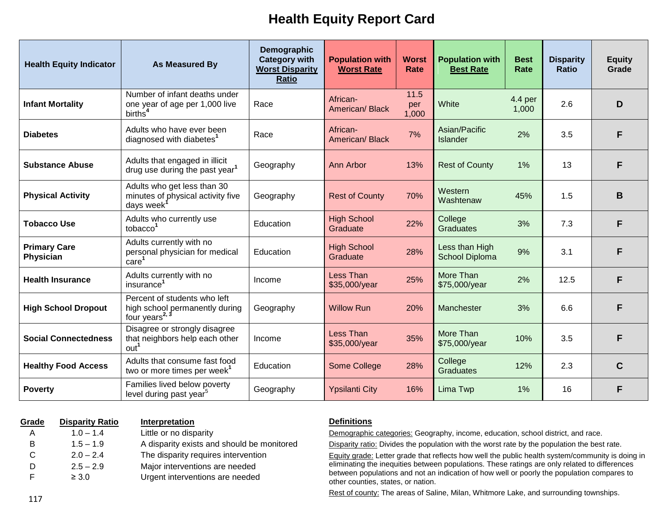# **Health Equity Report Card**

| <b>Health Equity Indicator</b>   | <b>As Measured By</b>                                                                        | Demographic<br><b>Category with</b><br><b>Worst Disparity</b><br><b>Ratio</b> | <b>Population with</b><br><b>Worst Rate</b> | <b>Worst</b><br>Rate | <b>Population with</b><br><b>Best Rate</b> | <b>Best</b><br><b>Rate</b> | <b>Disparity</b><br><b>Ratio</b> | <b>Equity</b><br>Grade |
|----------------------------------|----------------------------------------------------------------------------------------------|-------------------------------------------------------------------------------|---------------------------------------------|----------------------|--------------------------------------------|----------------------------|----------------------------------|------------------------|
| <b>Infant Mortality</b>          | Number of infant deaths under<br>one year of age per 1,000 live<br>births <sup>4</sup>       | Race                                                                          | African-<br>American/Black                  | 11.5<br>per<br>1,000 | White                                      | 4.4 per<br>1,000           | 2.6                              | D                      |
| <b>Diabetes</b>                  | Adults who have ever been<br>diagnosed with diabetes <sup>1</sup>                            | Race                                                                          | African-<br>American/Black                  | 7%                   | Asian/Pacific<br>Islander                  | 2%                         | 3.5                              | F                      |
| <b>Substance Abuse</b>           | Adults that engaged in illicit<br>drug use during the past year <sup>1</sup>                 | Geography                                                                     | Ann Arbor<br>13%                            |                      | <b>Rest of County</b>                      | 1%                         | 13                               | F                      |
| <b>Physical Activity</b>         | Adults who get less than 30<br>minutes of physical activity five<br>days week <sup>1</sup>   | Geography                                                                     | <b>Rest of County</b>                       | 70%                  | Western<br>Washtenaw                       | 45%                        | 1.5                              | B                      |
| <b>Tobacco Use</b>               | Adults who currently use<br>tobacco <sup>1</sup>                                             | Education                                                                     | <b>High School</b><br>Graduate              | 22%                  | College<br><b>Graduates</b>                | 3%                         | 7.3                              | F                      |
| <b>Primary Care</b><br>Physician | Adults currently with no<br>personal physician for medical<br>$\bar{c}$ are <sup>1</sup>     | Education                                                                     | <b>High School</b><br>Graduate              | 28%                  | Less than High<br><b>School Diploma</b>    | 9%                         | 3.1                              | F                      |
| <b>Health Insurance</b>          | Adults currently with no<br>insurance <sup>1</sup>                                           | Income                                                                        | Less Than<br>\$35,000/year                  | 25%                  | More Than<br>\$75,000/year                 | 2%                         | 12.5                             | F                      |
| <b>High School Dropout</b>       | Percent of students who left<br>high school permanently during<br>four years <sup>2, 3</sup> | Geography                                                                     | <b>Willow Run</b>                           | 20%                  | Manchester                                 | 3%                         | 6.6                              | F                      |
| <b>Social Connectedness</b>      | Disagree or strongly disagree<br>that neighbors help each other<br>out <sup>1</sup>          | Income                                                                        | <b>Less Than</b><br>\$35,000/year           | 35%                  | More Than<br>\$75,000/year                 | 10%                        | 3.5                              | F                      |
| <b>Healthy Food Access</b>       | Adults that consume fast food<br>two or more times per week <sup>1</sup>                     | Education                                                                     | Some College                                | 28%                  | College<br><b>Graduates</b>                | 12%                        | 2.3                              | $\mathbf C$            |
| <b>Poverty</b>                   | Families lived below poverty<br>level during past year <sup>5</sup>                          | Geography                                                                     | <b>Ypsilanti City</b>                       | 16%                  | Lima Twp                                   | 1%                         | 16                               | F                      |

| Grade | <b>Disparity Ratio</b> | <b>Interpretation</b>                      |
|-------|------------------------|--------------------------------------------|
| A     | $1.0 - 1.4$            | Little or no disparity                     |
| В     | $1.5 - 1.9$            | A disparity exists and should be monitored |
| C     | $2.0 - 2.4$            | The disparity requires intervention        |
| D     | $2.5 - 2.9$            | Major interventions are needed             |
| F     | $\geq 3.0$             | Urgent interventions are needed            |

#### **Definitions**

Demographic categories: Geography, income, education, school district, and race.

Disparity ratio: Divides the population with the worst rate by the population the best rate.

Equity grade: Letter grade that reflects how well the public health system/community is doing in eliminating the inequities between populations. These ratings are only related to differences between populations and not an indication of how well or poorly the population compares to other counties, states, or nation.

Rest of county: The areas of Saline, Milan, Whitmore Lake, and surrounding townships.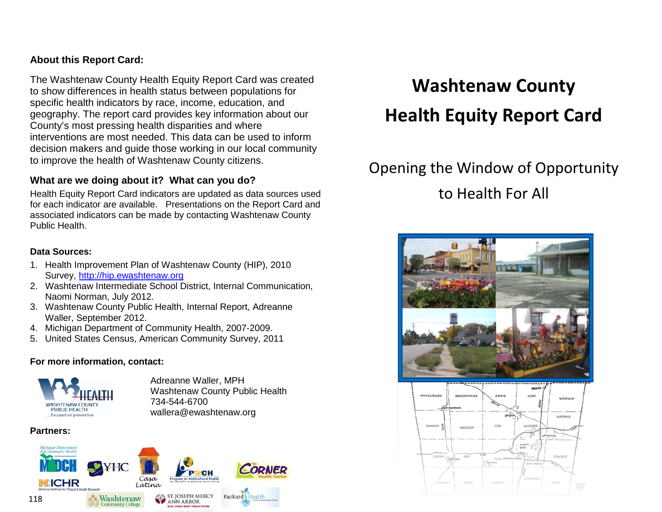## **About this Report Card:**

The Washtenaw County Health Equity Report Card was created to show differences in health status between populations for specific health indicators by race, income, education, and geography. The report card provides key information about our County's most pressing health disparities and where interventions are most needed. This data can be used to inform decision makers and guide those working in our local community to improve the health of Washtenaw County citizens.

## **What are we doing about it? What can you do?**

Health Equity Report Card indicators are updated as data sources used for each indicator are available. Presentations on the Report Card and associated indicators can be made by contacting Washtenaw County Public Health.

#### **Data Sources:**

- 1. Health Improvement Plan of Washtenaw County (HIP), 2010 Survey, [http://hip.ewashtenaw.org](http://hip.ewashtenaw.org/)
- 2. Washtenaw Intermediate School District, Internal Communication, Naomi Norman, July 2012.
- 3. Washtenaw County Public Health, Internal Report, Adreanne Waller, September 2012.
- 4. Michigan Department of Community Health, 2007-2009.
- 5. United States Census, American Community Survey, 2011

#### **For more information, contact:**



Adreanne Waller, MPH Washtenaw County Public Health 734-544-6700 wallera@ewashtenaw.org

### **Partners:**



# **Washtenaw County Health Equity Report Card**

# Opening the Window of Opportunity to Health For All



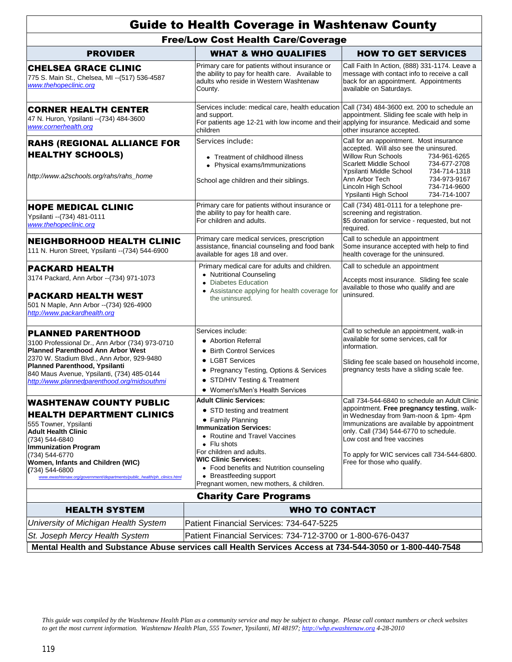|                                                                                                                                                                                                                                                                                                                  | <b>Guide to Health Coverage in Washtenaw County</b>                                                                                                                                                                                                                                                                                                      |                                                                                                                                                                                                                                                                                                                                           |  |  |  |
|------------------------------------------------------------------------------------------------------------------------------------------------------------------------------------------------------------------------------------------------------------------------------------------------------------------|----------------------------------------------------------------------------------------------------------------------------------------------------------------------------------------------------------------------------------------------------------------------------------------------------------------------------------------------------------|-------------------------------------------------------------------------------------------------------------------------------------------------------------------------------------------------------------------------------------------------------------------------------------------------------------------------------------------|--|--|--|
| <b>Free/Low Cost Health Care/Coverage</b>                                                                                                                                                                                                                                                                        |                                                                                                                                                                                                                                                                                                                                                          |                                                                                                                                                                                                                                                                                                                                           |  |  |  |
| <b>PROVIDER</b>                                                                                                                                                                                                                                                                                                  | <b>WHAT &amp; WHO QUALIFIES</b>                                                                                                                                                                                                                                                                                                                          | <b>HOW TO GET SERVICES</b>                                                                                                                                                                                                                                                                                                                |  |  |  |
| <b>CHELSEA GRACE CLINIC</b><br>775 S. Main St., Chelsea, MI -- (517) 536-4587<br>www.thehopeclinic.org                                                                                                                                                                                                           | Primary care for patients without insurance or<br>the ability to pay for health care. Available to<br>adults who reside in Western Washtenaw<br>County.                                                                                                                                                                                                  | Call Faith In Action, (888) 331-1174. Leave a<br>message with contact info to receive a call<br>back for an appointment. Appointments<br>available on Saturdays.                                                                                                                                                                          |  |  |  |
| <b>CORNER HEALTH CENTER</b><br>47 N. Huron, Ypsilanti -- (734) 484-3600<br>www.cornerhealth.org                                                                                                                                                                                                                  | Services include: medical care, health education Call (734) 484-3600 ext. 200 to schedule an<br>and support.<br>For patients age 12-21 with low income and their applying for insurance. Medicaid and some<br>children                                                                                                                                   | appointment. Sliding fee scale with help in<br>other insurance accepted.                                                                                                                                                                                                                                                                  |  |  |  |
| <b>RAHS (REGIONAL ALLIANCE FOR</b><br><b>HEALTHY SCHOOLS)</b><br>http://www.a2schools.org/rahs/rahs_home                                                                                                                                                                                                         | Services include:<br>• Treatment of childhood illness<br>• Physical exams/Immunizations<br>School age children and their siblings.                                                                                                                                                                                                                       | Call for an appointment. Most insurance<br>accepted. Will also see the uninsured.<br><b>Willow Run Schools</b><br>734-961-6265<br>Scarlett Middle School<br>734-677-2708<br>Ypsilanti Middle School<br>734-714-1318<br>Ann Arbor Tech<br>734-973-9167<br>Lincoln High School<br>734-714-9600<br>Ypsilanti High School<br>734-714-1007     |  |  |  |
| <b>HOPE MEDICAL CLINIC</b><br>Ypsilanti -- (734) 481-0111<br>www.thehopeclinic.org                                                                                                                                                                                                                               | Primary care for patients without insurance or<br>the ability to pay for health care.<br>For children and adults.                                                                                                                                                                                                                                        | Call (734) 481-0111 for a telephone pre-<br>screening and registration.<br>\$5 donation for service - requested, but not<br>required.                                                                                                                                                                                                     |  |  |  |
| NEIGHBORHOOD HEALTH CLINIC<br>111 N. Huron Street, Ypsilanti -- (734) 544-6900                                                                                                                                                                                                                                   | Primary care medical services, prescription<br>assistance, financial counseling and food bank<br>available for ages 18 and over.                                                                                                                                                                                                                         | Call to schedule an appointment<br>Some insurance accepted with help to find<br>health coverage for the uninsured.                                                                                                                                                                                                                        |  |  |  |
| <b>PACKARD HEALTH</b><br>3174 Packard, Ann Arbor -- (734) 971-1073<br>PACKARD HEALTH WEST<br>501 N Maple, Ann Arbor -- (734) 926-4900<br>http://www.packardhealth.org                                                                                                                                            | Primary medical care for adults and children.<br>• Nutritional Counseling<br>• Diabetes Education<br>Assistance applying for health coverage for<br>the uninsured.                                                                                                                                                                                       | Call to schedule an appointment<br>Accepts most insurance. Sliding fee scale<br>available to those who qualify and are<br>uninsured.                                                                                                                                                                                                      |  |  |  |
| <b>PLANNED PARENTHOOD</b><br>3100 Professional Dr., Ann Arbor (734) 973-0710<br><b>Planned Parenthood Ann Arbor West</b><br>2370 W. Stadium Blvd., Ann Arbor, 929-9480<br>Planned Parenthood, Ypsilanti<br>840 Maus Avenue, Ypsilanti, (734) 485-0144<br>http://www.plannedparenthood.org/midsouthmi             | Services include:<br>• Abortion Referral<br>• Birth Control Services<br>• LGBT Services<br>• Pregnancy Testing, Options & Services<br>• STD/HIV Testing & Treatment<br>Women's/Men's Health Services                                                                                                                                                     | Call to schedule an appointment, walk-in<br>available for some services, call for<br>information.<br>Sliding fee scale based on household income,<br>pregnancy tests have a sliding scale fee.                                                                                                                                            |  |  |  |
| WASHTENAW COUNTY PUBLIC<br><b>HEALTH DEPARTMENT CLINICS</b><br>555 Towner, Ypsilanti<br>Adult Health Clinic<br>(734) 544-6840<br><b>Immunization Program</b><br>(734) 544-6770<br>Women, Infants and Children (WIC)<br>(734) 544-6800<br>www.ewashtenaw.org/government/departments/public_health/ph_clinics.html | <b>Adult Clinic Services:</b><br>• STD testing and treatment<br>• Family Planning<br><b>Immunization Services:</b><br>• Routine and Travel Vaccines<br>$\bullet$ Flu shots<br>For children and adults.<br><b>WIC Clinic Services:</b><br>• Food benefits and Nutrition counseling<br>• Breastfeeding support<br>Pregnant women, new mothers, & children. | Call 734-544-6840 to schedule an Adult Clinic<br>appointment. Free pregnancy testing, walk-<br>in Wednesday from 9am-noon & 1pm- 4pm<br>Immunizations are available by appointment<br>only. Call (734) 544-6770 to schedule.<br>Low cost and free vaccines<br>To apply for WIC services call 734-544-6800.<br>Free for those who qualify. |  |  |  |
|                                                                                                                                                                                                                                                                                                                  | <b>Charity Care Programs</b>                                                                                                                                                                                                                                                                                                                             |                                                                                                                                                                                                                                                                                                                                           |  |  |  |
| <b>HEALTH SYSTEM</b>                                                                                                                                                                                                                                                                                             | <b>WHO TO CONTACT</b>                                                                                                                                                                                                                                                                                                                                    |                                                                                                                                                                                                                                                                                                                                           |  |  |  |
| University of Michigan Health System<br>St. Joseph Mercy Health System                                                                                                                                                                                                                                           | Patient Financial Services: 734-647-5225<br>Patient Financial Services: 734-712-3700 or 1-800-676-0437<br>Mental Health and Substance Abuse services call Health Services Access at 734-544-3050 or 1-800-440-7548                                                                                                                                       |                                                                                                                                                                                                                                                                                                                                           |  |  |  |

*This guide was compiled by the Washtenaw Health Plan as a community service and may be subject to change. Please call contact numbers or check websites to get the most current information. Washtenaw Health Plan, 555 Towner, Ypsilanti, MI 48197; http://whp.ewashtenaw.org 4-28-2010*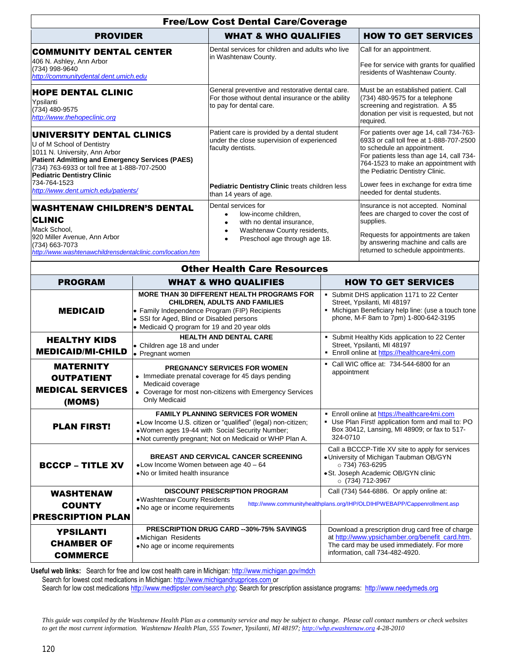|                                                                                                                                                                                                                                                   |                                                                                                                                                                                                                                   | <b>Free/Low Cost Dental Care/Coverage</b>                                                                                                                          |                                                                                                                                                                                      |                                                                                                                                                                                                                                           |  |  |
|---------------------------------------------------------------------------------------------------------------------------------------------------------------------------------------------------------------------------------------------------|-----------------------------------------------------------------------------------------------------------------------------------------------------------------------------------------------------------------------------------|--------------------------------------------------------------------------------------------------------------------------------------------------------------------|--------------------------------------------------------------------------------------------------------------------------------------------------------------------------------------|-------------------------------------------------------------------------------------------------------------------------------------------------------------------------------------------------------------------------------------------|--|--|
| <b>PROVIDER</b>                                                                                                                                                                                                                                   |                                                                                                                                                                                                                                   | <b>WHAT &amp; WHO QUALIFIES</b>                                                                                                                                    |                                                                                                                                                                                      | <b>HOW TO GET SERVICES</b>                                                                                                                                                                                                                |  |  |
| <b>COMMUNITY DENTAL CENTER</b><br>406 N. Ashley, Ann Arbor<br>(734) 998-9640<br>http://communitydental.dent.umich.edu                                                                                                                             |                                                                                                                                                                                                                                   | Dental services for children and adults who live<br>in Washtenaw County.                                                                                           |                                                                                                                                                                                      | Call for an appointment.<br>Fee for service with grants for qualified<br>residents of Washtenaw County.                                                                                                                                   |  |  |
| <b>HOPE DENTAL CLINIC</b><br>Ypsilanti<br>(734) 480-9575<br>http://www.thehopeclinic.org                                                                                                                                                          |                                                                                                                                                                                                                                   | General preventive and restorative dental care.<br>For those without dental insurance or the ability<br>to pay for dental care.                                    |                                                                                                                                                                                      | Must be an established patient. Call<br>(734) 480-9575 for a telephone<br>screening and registration. A \$5<br>donation per visit is requested, but not<br>required.                                                                      |  |  |
| UNIVERSITY DENTAL CLINICS<br>U of M School of Dentistry<br>1011 N. University, Ann Arbor<br>Patient Admitting and Emergency Services (PAES)<br>(734) 763-6933 or toll free at 1-888-707-2500<br><b>Pediatric Dentistry Clinic</b><br>734-764-1523 |                                                                                                                                                                                                                                   | Patient care is provided by a dental student<br>under the close supervision of experienced<br>faculty dentists.                                                    |                                                                                                                                                                                      | For patients over age 14, call 734-763-<br>6933 or call toll free at 1-888-707-2500<br>to schedule an appointment.<br>For patients less than age 14, call 734-<br>764-1523 to make an appointment with<br>the Pediatric Dentistry Clinic. |  |  |
| http://www.dent.umich.edu/patients/                                                                                                                                                                                                               |                                                                                                                                                                                                                                   | Pediatric Dentistry Clinic treats children less<br>than 14 years of age.                                                                                           |                                                                                                                                                                                      | Lower fees in exchange for extra time<br>needed for dental students.                                                                                                                                                                      |  |  |
| WASHTENAW CHILDREN'S DENTAL<br><b>CLINIC</b><br>Mack School,<br>920 Miller Avenue, Ann Arbor<br>(734) 663-7073<br>http://www.washtenawchildrensdentalclinic.com/location.htm                                                                      |                                                                                                                                                                                                                                   | Dental services for<br>low-income children,<br>$\bullet$<br>with no dental insurance.<br>Washtenaw County residents,<br>$\bullet$<br>Preschool age through age 18. |                                                                                                                                                                                      | Insurance is not accepted. Nominal<br>fees are charged to cover the cost of<br>supplies.<br>Requests for appointments are taken<br>by answering machine and calls are                                                                     |  |  |
|                                                                                                                                                                                                                                                   |                                                                                                                                                                                                                                   |                                                                                                                                                                    |                                                                                                                                                                                      | returned to schedule appointments.                                                                                                                                                                                                        |  |  |
| <b>Other Health Care Resources</b>                                                                                                                                                                                                                |                                                                                                                                                                                                                                   |                                                                                                                                                                    |                                                                                                                                                                                      |                                                                                                                                                                                                                                           |  |  |
| <b>PROGRAM</b>                                                                                                                                                                                                                                    |                                                                                                                                                                                                                                   | <b>WHAT &amp; WHO QUALIFIES</b>                                                                                                                                    |                                                                                                                                                                                      | <b>HOW TO GET SERVICES</b>                                                                                                                                                                                                                |  |  |
| <b>MEDICAID</b>                                                                                                                                                                                                                                   | MORE THAN 30 DIFFERENT HEALTH PROGRAMS FOR<br><b>CHILDREN, ADULTS AND FAMILIES</b><br>• Family Independence Program (FIP) Recipients<br>• SSI for Aged, Blind or Disabled persons<br>• Medicaid Q program for 19 and 20 year olds |                                                                                                                                                                    | • Submit DHS application 1171 to 22 Center<br>Street, Ypsilanti, MI 48197<br>• Michigan Beneficiary help line: (use a touch tone<br>phone, M-F 8am to 7pm) 1-800-642-3195            |                                                                                                                                                                                                                                           |  |  |
| <b>HEALTHY KIDS</b><br><b>MEDICAID/MI-CHILD</b>                                                                                                                                                                                                   | <b>HEALTH AND DENTAL CARE</b><br>• Children age 18 and under<br>• Pregnant women                                                                                                                                                  |                                                                                                                                                                    | Submit Healthy Kids application to 22 Center<br>Street, Ypsilanti, MI 48197<br><b>Enroll online at https://healthcare4mi.com</b>                                                     |                                                                                                                                                                                                                                           |  |  |
| <b>MATERNITY</b><br><b>OUTPATIENT</b><br><b>MEDICAL SERVICES</b><br>(MOMS)                                                                                                                                                                        | PREGNANCY SERVICES FOR WOMEN<br>• Immediate prenatal coverage for 45 days pending<br>Medicaid coverage<br>• Coverage for most non-citizens with Emergency Services<br>Only Medicaid                                               |                                                                                                                                                                    | • Call WIC office at: 734-544-6800 for an<br>appointment                                                                                                                             |                                                                                                                                                                                                                                           |  |  |
| <b>PLAN FIRST!</b>                                                                                                                                                                                                                                | <b>FAMILY PLANNING SERVICES FOR WOMEN</b><br>• Low Income U.S. citizen or "qualified" (legal) non-citizen;<br>. Women ages 19-44 with Social Security Number;<br>. Not currently pregnant; Not on Medicaid or WHP Plan A.         |                                                                                                                                                                    | Enroll online at https://healthcare4mi.com<br>Use Plan First! application form and mail to: PO<br>Box 30412, Lansing, MI 48909; or fax to 517-<br>324-0710                           |                                                                                                                                                                                                                                           |  |  |
| <b>BCCCP - TITLE XV</b>                                                                                                                                                                                                                           | <b>BREAST AND CERVICAL CANCER SCREENING</b><br>$\bullet$ Low Income Women between age 40 – 64<br>• No or limited health insurance                                                                                                 |                                                                                                                                                                    | Call a BCCCP-Title XV site to apply for services<br>· University of Michigan Taubman OB/GYN<br>$\circ$ 734) 763-6295<br>• St. Joseph Academic OB/GYN clinic<br>○ (734) 712-3967      |                                                                                                                                                                                                                                           |  |  |
| <b>WASHTENAW</b><br><b>COUNTY</b><br><b>PRESCRIPTION PLAN</b>                                                                                                                                                                                     | . Washtenaw County Residents<br>. No age or income requirements                                                                                                                                                                   | <b>DISCOUNT PRESCRIPTION PROGRAM</b>                                                                                                                               |                                                                                                                                                                                      | Call (734) 544-6886. Or apply online at:<br>http://www.communityhealthplans.org/IHP/OLDIHPWEBAPP/Cappenrollment.asp                                                                                                                       |  |  |
| <b>YPSILANTI</b><br><b>CHAMBER OF</b><br><b>COMMERCE</b>                                                                                                                                                                                          | <b>PRESCRIPTION DRUG CARD --30%-75% SAVINGS</b><br>· Michigan Residents<br>. No age or income requirements                                                                                                                        |                                                                                                                                                                    | Download a prescription drug card free of charge<br>at http://www.ypsichamber.org/benefit_card.htm.<br>The card may be used immediately. For more<br>information, call 734-482-4920. |                                                                                                                                                                                                                                           |  |  |

**Useful web links:** Search for free and low cost health care in Michigan[: http://www.michigan.gov/mdch](http://www.michigan.gov/mdch)

Search for lowest cost medications in Michigan: [http://www.michigandrugprices.com](http://www.michigandrugprices.com/) or

Search for low cost medication[s http://www.medtipster.com/search.php;](http://www.medtipster.com/search.php) Search for prescription assistance programs:[http://www.needymeds.org](http://www.needymeds.org/)

*This guide was compiled by the Washtenaw Health Plan as a community service and may be subject to change. Please call contact numbers or check websites to get the most current information. Washtenaw Health Plan, 555 Towner, Ypsilanti, MI 48197; http://whp.ewashtenaw.org 4-28-2010*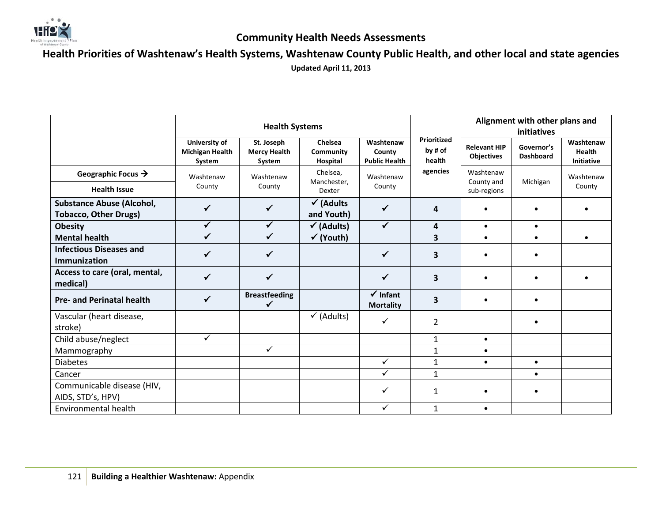

## **Community Health Needs Assessments**

**Health Priorities of Washtenaw's Health Systems, Washtenaw County Public Health, and other local and state agencies**

**Updated April 11, 2013**

|                                                                  | <b>Health Systems</b>                             |                                             |                                    |                                             | Alignment with other plans and<br>initiatives |                                          |                                |                                                 |
|------------------------------------------------------------------|---------------------------------------------------|---------------------------------------------|------------------------------------|---------------------------------------------|-----------------------------------------------|------------------------------------------|--------------------------------|-------------------------------------------------|
|                                                                  | University of<br><b>Michigan Health</b><br>System | St. Joseph<br><b>Mercy Health</b><br>System | Chelsea<br>Community<br>Hospital   | Washtenaw<br>County<br><b>Public Health</b> | Prioritized<br>by # of<br>health              | <b>Relevant HIP</b><br><b>Objectives</b> | Governor's<br><b>Dashboard</b> | Washtenaw<br><b>Health</b><br><b>Initiative</b> |
| Geographic Focus $\rightarrow$<br><b>Health Issue</b>            | Washtenaw<br>County                               | Washtenaw<br>County                         | Chelsea,<br>Manchester.<br>Dexter  | Washtenaw<br>County                         | agencies                                      | Washtenaw<br>County and<br>sub-regions   | Michigan                       | Washtenaw<br>County                             |
| <b>Substance Abuse (Alcohol,</b><br><b>Tobacco, Other Drugs)</b> | $\checkmark$                                      | ✓                                           | $\checkmark$ (Adults<br>and Youth) | $\checkmark$                                | 4                                             |                                          |                                |                                                 |
| <b>Obesity</b>                                                   | $\checkmark$                                      | $\checkmark$                                | $\checkmark$ (Adults)              | ✓                                           | 4                                             | $\bullet$                                | $\bullet$                      |                                                 |
| <b>Mental health</b>                                             | $\checkmark$                                      | $\checkmark$                                | $\checkmark$ (Youth)               |                                             | 3                                             | $\bullet$                                | $\bullet$                      | $\bullet$                                       |
| <b>Infectious Diseases and</b><br><b>Immunization</b>            | ✓                                                 | ✓                                           |                                    | ✓                                           | 3                                             |                                          |                                |                                                 |
| Access to care (oral, mental,<br>medical)                        | ✓                                                 | ✓                                           |                                    | $\checkmark$                                | 3                                             |                                          |                                |                                                 |
| <b>Pre- and Perinatal health</b>                                 | $\checkmark$                                      | <b>Breastfeeding</b><br>✓                   |                                    | $\checkmark$ Infant<br><b>Mortality</b>     | 3                                             |                                          |                                |                                                 |
| Vascular (heart disease,<br>stroke)                              |                                                   |                                             | $\checkmark$ (Adults)              | $\checkmark$                                | 2                                             |                                          |                                |                                                 |
| Child abuse/neglect                                              | $\checkmark$                                      |                                             |                                    |                                             | $\mathbf{1}$                                  | $\bullet$                                |                                |                                                 |
| Mammography                                                      |                                                   | $\checkmark$                                |                                    |                                             | 1                                             | $\bullet$                                |                                |                                                 |
| <b>Diabetes</b>                                                  |                                                   |                                             |                                    | ✓                                           | $\mathbf{1}$                                  | $\bullet$                                | $\bullet$                      |                                                 |
| Cancer                                                           |                                                   |                                             |                                    | $\checkmark$                                | $\mathbf{1}$                                  |                                          | $\bullet$                      |                                                 |
| Communicable disease (HIV,<br>AIDS, STD's, HPV)                  |                                                   |                                             |                                    | ✓                                           | 1                                             |                                          |                                |                                                 |
| <b>Environmental health</b>                                      |                                                   |                                             |                                    | ✓                                           | $\mathbf{1}$                                  | $\bullet$                                |                                |                                                 |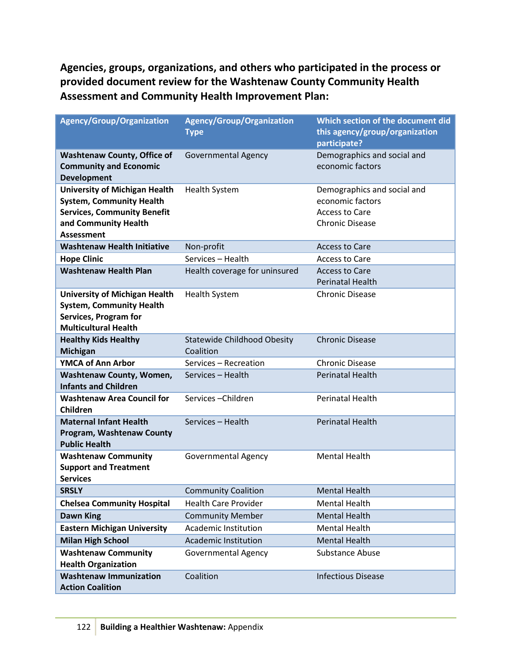**Agencies, groups, organizations, and others who participated in the process or provided document review for the Washtenaw County Community Health Assessment and Community Health Improvement Plan:**

| <b>Agency/Group/Organization</b>                                                                                                                           | <b>Agency/Group/Organization</b><br><b>Type</b> | Which section of the document did<br>this agency/group/organization<br>participate?                |
|------------------------------------------------------------------------------------------------------------------------------------------------------------|-------------------------------------------------|----------------------------------------------------------------------------------------------------|
| <b>Washtenaw County, Office of</b><br><b>Community and Economic</b><br><b>Development</b>                                                                  | <b>Governmental Agency</b>                      | Demographics and social and<br>economic factors                                                    |
| <b>University of Michigan Health</b><br><b>System, Community Health</b><br><b>Services, Community Benefit</b><br>and Community Health<br><b>Assessment</b> | <b>Health System</b>                            | Demographics and social and<br>economic factors<br><b>Access to Care</b><br><b>Chronic Disease</b> |
| <b>Washtenaw Health Initiative</b>                                                                                                                         | Non-profit                                      | <b>Access to Care</b>                                                                              |
| <b>Hope Clinic</b>                                                                                                                                         | Services - Health                               | <b>Access to Care</b>                                                                              |
| <b>Washtenaw Health Plan</b>                                                                                                                               | Health coverage for uninsured                   | <b>Access to Care</b><br><b>Perinatal Health</b>                                                   |
| <b>University of Michigan Health</b><br><b>System, Community Health</b><br><b>Services, Program for</b><br><b>Multicultural Health</b>                     | <b>Health System</b>                            | <b>Chronic Disease</b>                                                                             |
| <b>Healthy Kids Healthy</b><br><b>Michigan</b>                                                                                                             | <b>Statewide Childhood Obesity</b><br>Coalition | <b>Chronic Disease</b>                                                                             |
| <b>YMCA of Ann Arbor</b>                                                                                                                                   | Services - Recreation                           | <b>Chronic Disease</b>                                                                             |
| <b>Washtenaw County, Women,</b><br><b>Infants and Children</b>                                                                                             | Services - Health                               | <b>Perinatal Health</b>                                                                            |
| <b>Washtenaw Area Council for</b><br><b>Children</b>                                                                                                       | Services-Children                               | <b>Perinatal Health</b>                                                                            |
| <b>Maternal Infant Health</b><br>Program, Washtenaw County<br><b>Public Health</b>                                                                         | Services - Health                               | <b>Perinatal Health</b>                                                                            |
| <b>Washtenaw Community</b><br><b>Support and Treatment</b><br><b>Services</b>                                                                              | <b>Governmental Agency</b>                      | <b>Mental Health</b>                                                                               |
| <b>SRSLY</b>                                                                                                                                               | <b>Community Coalition</b>                      | <b>Mental Health</b>                                                                               |
| <b>Chelsea Community Hospital</b>                                                                                                                          | <b>Health Care Provider</b>                     | <b>Mental Health</b>                                                                               |
| <b>Dawn King</b>                                                                                                                                           | <b>Community Member</b>                         | <b>Mental Health</b>                                                                               |
| <b>Eastern Michigan University</b>                                                                                                                         | Academic Institution                            | <b>Mental Health</b>                                                                               |
| <b>Milan High School</b>                                                                                                                                   | Academic Institution                            | <b>Mental Health</b>                                                                               |
| <b>Washtenaw Community</b><br><b>Health Organization</b>                                                                                                   | <b>Governmental Agency</b>                      | <b>Substance Abuse</b>                                                                             |
| <b>Washtenaw Immunization</b><br><b>Action Coalition</b>                                                                                                   | Coalition                                       | <b>Infectious Disease</b>                                                                          |